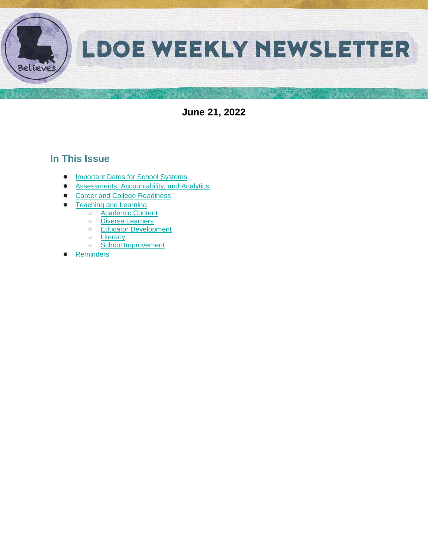

**June 21, 2022**

# **In This Issue**

- [Important Dates for School Systems](#page-1-0)
- [Assessments, Accountability, and Analytics](#page-2-0)
- [Career and College Readiness](#page-4-0)
- **[Teaching and Learning](#page-5-0)** 
	- [Academic Content](#page-5-1)
	- [Diverse Learners](#page-5-2)
	- [Educator Development](#page-6-0)
	- [Literacy](#page-8-0)
	- [School Improvement](#page-10-0)
- **[Reminders](#page-11-0)**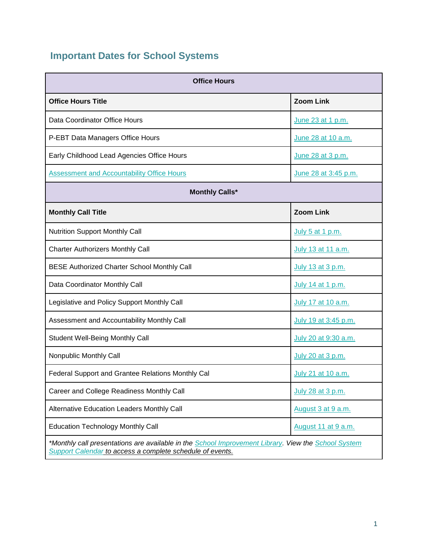# <span id="page-1-0"></span>**Important Dates for School Systems**

| <b>Office Hours</b>                                                                                                                                              |                      |  |  |  |  |
|------------------------------------------------------------------------------------------------------------------------------------------------------------------|----------------------|--|--|--|--|
| <b>Office Hours Title</b>                                                                                                                                        | <b>Zoom Link</b>     |  |  |  |  |
| Data Coordinator Office Hours                                                                                                                                    | June 23 at 1 p.m.    |  |  |  |  |
| P-EBT Data Managers Office Hours                                                                                                                                 | June 28 at 10 a.m.   |  |  |  |  |
| Early Childhood Lead Agencies Office Hours                                                                                                                       | June 28 at 3 p.m.    |  |  |  |  |
| <b>Assessment and Accountability Office Hours</b>                                                                                                                | June 28 at 3:45 p.m. |  |  |  |  |
| <b>Monthly Calls*</b>                                                                                                                                            |                      |  |  |  |  |
| <b>Monthly Call Title</b>                                                                                                                                        | <b>Zoom Link</b>     |  |  |  |  |
| <b>Nutrition Support Monthly Call</b>                                                                                                                            | July 5 at 1 p.m.     |  |  |  |  |
| <b>Charter Authorizers Monthly Call</b>                                                                                                                          | July 13 at 11 a.m.   |  |  |  |  |
| <b>BESE Authorized Charter School Monthly Call</b>                                                                                                               | July 13 at 3 p.m.    |  |  |  |  |
| Data Coordinator Monthly Call                                                                                                                                    | July 14 at 1 p.m.    |  |  |  |  |
| Legislative and Policy Support Monthly Call                                                                                                                      | July 17 at 10 a.m.   |  |  |  |  |
| Assessment and Accountability Monthly Call                                                                                                                       | July 19 at 3:45 p.m. |  |  |  |  |
| Student Well-Being Monthly Call                                                                                                                                  | July 20 at 9:30 a.m. |  |  |  |  |
| Nonpublic Monthly Call                                                                                                                                           | July 20 at 3 p.m.    |  |  |  |  |
| Federal Support and Grantee Relations Monthly Cal                                                                                                                | July 21 at 10 a.m.   |  |  |  |  |
| Career and College Readiness Monthly Call                                                                                                                        | July 28 at 3 p.m.    |  |  |  |  |
| Alternative Education Leaders Monthly Call                                                                                                                       | August 3 at 9 a.m.   |  |  |  |  |
| <b>Education Technology Monthly Call</b>                                                                                                                         | August 11 at 9 a.m.  |  |  |  |  |
| *Monthly call presentations are available in the School Improvement Library. View the School System<br>Support Calendar to access a complete schedule of events. |                      |  |  |  |  |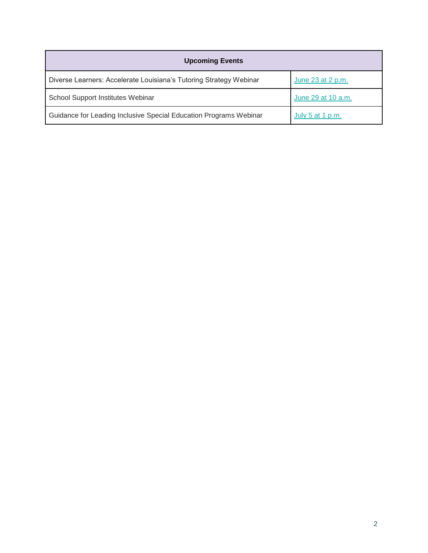<span id="page-2-0"></span>

| <b>Upcoming Events</b>                                             |                    |  |  |  |
|--------------------------------------------------------------------|--------------------|--|--|--|
| Diverse Learners: Accelerate Louisiana's Tutoring Strategy Webinar | June 23 at 2 p.m.  |  |  |  |
| School Support Institutes Webinar                                  | June 29 at 10 a.m. |  |  |  |
| Guidance for Leading Inclusive Special Education Programs Webinar  | July 5 at 1 p.m.   |  |  |  |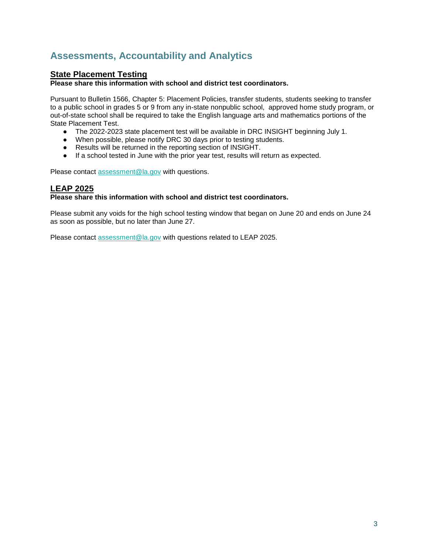# **Assessments, Accountability and Analytics**

# **State Placement Testing**

**Please share this information with school and district test coordinators.**

Pursuant to Bulletin 1566, Chapter 5: Placement Policies, transfer students, students seeking to transfer to a public school in grades 5 or 9 from any in-state nonpublic school, approved home study program, or out-of-state school shall be required to take the English language arts and mathematics portions of the State Placement Test.

- The 2022-2023 state placement test will be available in DRC INSIGHT beginning July 1.
- When possible, please notify DRC 30 days prior to testing students.
- Results will be returned in the reporting section of INSIGHT.
- If a school tested in June with the prior year test, results will return as expected.

Please contact [assessment@la.gov](mailto:assessment@la.gov) with questions.

## **LEAP 2025**

#### **Please share this information with school and district test coordinators.**

Please submit any voids for the high school testing window that began on June 20 and ends on June 24 as soon as possible, but no later than June 27.

Please contact [assessment@la.gov](mailto:assessment@la.gov) with questions related to LEAP 2025.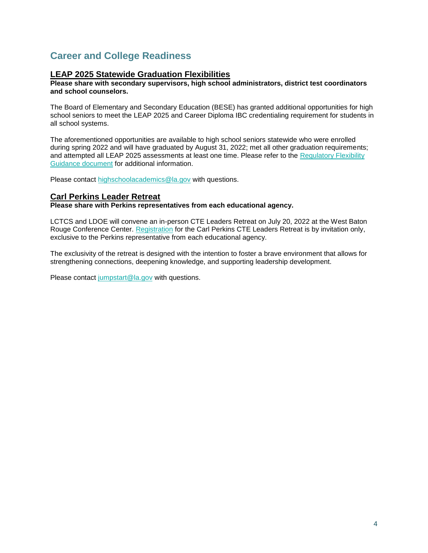# <span id="page-4-0"></span>**Career and College Readiness**

## **LEAP 2025 Statewide Graduation Flexibilities**

#### **Please share with secondary supervisors, high school administrators, district test coordinators and school counselors.**

The Board of Elementary and Secondary Education (BESE) has granted additional opportunities for high school seniors to meet the LEAP 2025 and Career Diploma IBC credentialing requirement for students in all school systems.

The aforementioned opportunities are available to high school seniors statewide who were enrolled during spring 2022 and will have graduated by August 31, 2022; met all other graduation requirements; and attempted all LEAP 2025 assessments at least one time. Please refer to the Regulatory Flexibility [Guidance document](https://www.louisianabelieves.com/docs/default-source/links-for-newsletters/update-2022-leap-2025-statewide-graduation-flexibilities.pdf) for additional information.

Please contact [highschoolacademics@la.gov](mailto:highschoolacademics@la.gov) with questions.

#### **Carl Perkins Leader Retreat**

#### **Please share with Perkins representatives from each educational agency.**

LCTCS and LDOE will convene an in-person CTE Leaders Retreat on July 20, 2022 at the West Baton Rouge Conference Center. [Registration](https://forms.office.com/Pages/ResponsePage.aspx?id=KJvr2XzPOkSIdWXp-b6r_lISPvs3XmJOl31IRYQ5FXZUMzBFODQ3VTFKNUc5VERVUEZQU0xKQVBERC4u) for the Carl Perkins CTE Leaders Retreat is by invitation only, exclusive to the Perkins representative from each educational agency.

The exclusivity of the retreat is designed with the intention to foster a brave environment that allows for strengthening connections, deepening knowledge, and supporting leadership development.

Please contact [jumpstart@la.gov](mailto:jumpstart@la.gov) with questions.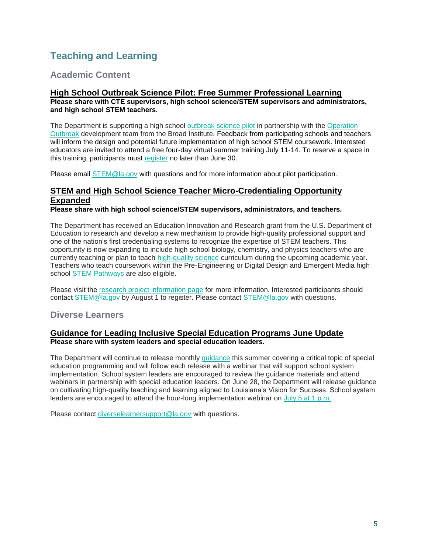# <span id="page-5-0"></span>**Teaching and Learning**

# <span id="page-5-1"></span>**Academic Content**

### **High School Outbreak Science Pilot: Free Summer Professional Learning Please share with CTE supervisors, high school science/STEM supervisors and administrators, and high school STEM teachers.**

The Department is supporting a high school [outbreak science pilot](https://drive.google.com/file/d/1hdzyczwchOaatOE354O0OV4mGCEMTlyF/view?usp=sharing) in partnership with the Operation [Outbreak](https://operationoutbreak.org/) development team from the Broad Institute. Feedback from participating schools and teachers will inform the design and potential future implementation of high school STEM coursework. Interested educators are invited to attend a free four-day virtual summer training July 11-14. To reserve a space in this training, participants must [register](https://forms.gle/vMZ6F1Hf4VVcwhPD9) no later than June 30.

Please email [STEM@la.gov](mailto:STEM@la.gov) with questions and for more information about pilot participation.

## **STEM and High School Science Teacher Micro-Credentialing Opportunity Expanded**

**Please share with high school science/STEM supervisors, administrators, and teachers.**

The Department has received an Education Innovation and Research grant from the U.S. Department of Education to research and develop a new mechanism to provide high-quality professional support and one of the nation's first credentialing systems to recognize the expertise of STEM teachers. This opportunity is now expanding to include high school biology, chemistry, and physics teachers who are currently teaching or plan to teach [high-quality science](https://www.louisianabelieves.com/docs/default-source/year-long-planning/high-quality-science-curriculum.pdf?sfvrsn=7d969a1f_14) curriculum during the upcoming academic year[.](https://www.louisianabelieves.com/resources/library/k-12-science-resources) Teachers who teach coursework within the Pre-Engineering or Digital Design and Emergent Media high school [STEM Pathways](https://louisianabelieves.com/courses/louisiana-stem-initiative) are also eligible.

Please visit the [research project information page](https://www.rand.org/education-and-labor/projects/STEM-micro-credentials.html) [f](https://www.rand.org/education-and-labor/projects/STEM-micro-credentials.html)or more information. Interested participants should contact [STEM@la.gov](mailto:STEM@la.gov) by August 1 to register. Please contact [STEM@la.gov](mailto:STEM@la.gov) with questions.

# <span id="page-5-2"></span>**Diverse Learners**

### **Guidance for Leading Inclusive Special Education Programs June Update Please share with system leaders and special education leaders.**

The Department will continue to release monthly [guidance](https://www.louisianabelieves.com/resources/library/school-improvement) this summer covering a critical topic of special education programming and will follow each release with a webinar that will support school system implementation. School system leaders are encouraged to review the guidance materials and attend webinars in partnership with special education leaders. On June 28, the Department will release guidance on cultivating high-quality teaching and learning aligned to Louisiana's Vision for Success. School system leaders are encouraged to attend the hour-long implementation webinar on [July 5 at 1 p.m.](https://ldoe.zoom.us/j/99590926305?pwd=M0pEQ0cyMm9ERGdqU3FsODFOMjVUZz09)

Please contact [diverselearnersupport@la.gov](mailto:diverselearnersupport@la.gov) with questions.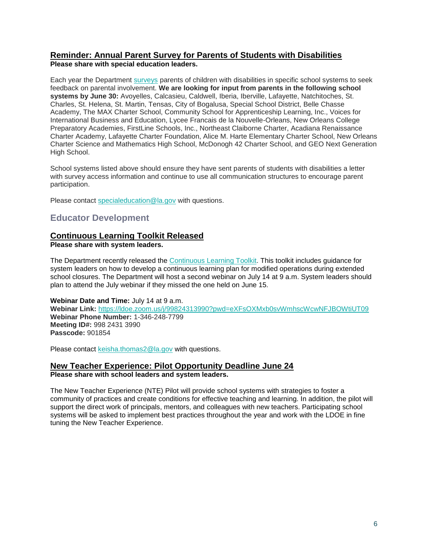# **Reminder: Annual Parent Survey for Parents of Students with Disabilities**

**Please share with special education leaders.**

Each year the Departmen[t](https://louisianabelieves.com/students-with-disabilities/louisiana-special-education-parent-involvement-survey) [surveys](https://louisianabelieves.com/students-with-disabilities/louisiana-special-education-parent-involvement-survey) parents of children with disabilities in specific school systems to seek feedback on parental involvement. **We are looking for input from parents in the following school systems by June 30:** Avoyelles, Calcasieu, Caldwell, Iberia, Iberville, Lafayette, Natchitoches, St. Charles, St. Helena, St. Martin, Tensas, City of Bogalusa, Special School District, Belle Chasse Academy, The MAX Charter School, Community School for Apprenticeship Learning, Inc., Voices for International Business and Education, Lycee Francais de la Nouvelle-Orleans, New Orleans College Preparatory Academies, FirstLine Schools, Inc., Northeast Claiborne Charter, Acadiana Renaissance Charter Academy, Lafayette Charter Foundation, Alice M. Harte Elementary Charter School, New Orleans Charter Science and Mathematics High School, McDonogh 42 Charter School, and GEO Next Generation High School.

School systems listed above should ensure they have sent parents of students with disabilities a letter with survey access information and continue to use all communication structures to encourage parent participation.

Please contact [specialeducation@la.gov](mailto:specialeducation@la.gov) with questions.

# <span id="page-6-0"></span>**Educator Development**

# **Continuous Learning Toolkit Released**

**Please share with system leaders.**

The Department recently released the [Continuous Learning Toolkit.](https://www.louisianabelieves.com/docs/default-source/covid-19-resources/continuous-learning-toolkit.pdf) This toolkit includes guidance for system leaders on how to develop a continuous learning plan for modified operations during extended school closures. The Department will host a second webinar on July 14 at 9 a.m. System leaders should plan to attend the July webinar if they missed the one held on June 15.

### **Webinar Date and Time:** July 14 at 9 a.m.

**Webinar Link:** <https://ldoe.zoom.us/j/99824313990?pwd=eXFsOXMxb0svWmhscWcwNFJBOWtiUT09> **Webinar Phone Number:** 1-346-248-7799 **Meeting ID#:** 998 2431 3990 **Passcode:** 901854

Please contact [keisha.thomas2@la.gov](mailto:Keisha.Thomas2@la.gov) with questions.

# **New Teacher Experience: Pilot Opportunity Deadline June 24**

**Please share with school leaders and system leaders.**

The New Teacher Experience (NTE) Pilot will provide school systems with strategies to foster a community of practices and create conditions for effective teaching and learning. In addition, the pilot will support the direct work of principals, mentors, and colleagues with new teachers. Participating school systems will be asked to implement best practices throughout the year and work with the LDOE in fine tuning the New Teacher Experience.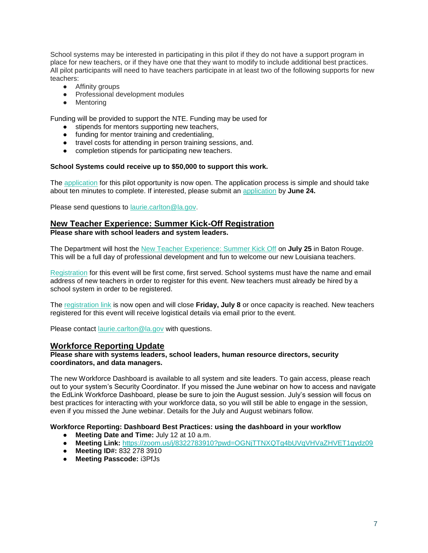School systems may be interested in participating in this pilot if they do not have a support program in place for new teachers, or if they have one that they want to modify to include additional best practices. All pilot participants will need to have teachers participate in at least two of the following supports for new teachers:

- Affinity groups
- Professional development modules
- Mentoring

Funding will be provided to support the NTE. Funding may be used for

- stipends for mentors supporting new teachers,
- funding for mentor training and credentialing,
- travel costs for attending in person training sessions, and.
- completion stipends for participating new teachers.

#### **School Systems could receive up to \$50,000 to support this work.**

The [application](https://docs.google.com/forms/d/e/1FAIpQLSfhekakJahgArZUUi0-BZWjbk4jKUVVmTZCiyN8cliZfIc9jg/viewform?usp=sf_link) for this pilot opportunity is now open. The application process is simple and should take about ten minutes to complete. If interested, please submit an [application](https://docs.google.com/forms/d/e/1FAIpQLSfhekakJahgArZUUi0-BZWjbk4jKUVVmTZCiyN8cliZfIc9jg/viewform?usp=sf_link) by **June 24.**

Please send questions to [laurie.carlton@la.gov.](mailto:laurie.carlton@la.gov)

### **New Teacher Experience: Summer Kick-Off Registration Please share with school leaders and system leaders.**

The Department will host the [New Teacher Experience: Summer Kick Off](https://www.louisianabelieves.com/docs/default-source/awards/new-teacher-experience-summer-kick-off.pdf?sfvrsn=fa4e6518_2) on **July 25** in Baton Rouge. This will be a full day of professional development and fun to welcome our new Louisiana teachers.

[Registration](https://docs.google.com/forms/d/e/1FAIpQLSfhekakJahgArZUUi0-BZWjbk4jKUVVmTZCiyN8cliZfIc9jg/viewform?usp=sf_link) for this event will be first come, first served. School systems must have the name and email address of new teachers in order to register for this event. New teachers must already be hired by a school system in order to be registered.

The [registration link](https://docs.google.com/forms/d/e/1FAIpQLSfhekakJahgArZUUi0-BZWjbk4jKUVVmTZCiyN8cliZfIc9jg/viewform?usp=sf_link) is now open and will close **Friday, July 8** or once capacity is reached. New teachers registered for this event will receive logistical details via email prior to the event.

Please contact [laurie.carlton@la.gov](mailto:laurie.carlton@la.gov) with questions.

#### **Workforce Reporting Update**

#### **Please share with systems leaders, school leaders, human resource directors, security coordinators, and data managers.**

The new Workforce Dashboard is available to all system and site leaders. To gain access, please reach out to your system's Security Coordinator. If you missed the June webinar on how to access and navigate the EdLink Workforce Dashboard, please be sure to join the August session. July's session will focus on best practices for interacting with your workforce data, so you will still be able to engage in the session, even if you missed the June webinar. Details for the July and August webinars follow.

#### **Workforce Reporting: Dashboard Best Practices: using the dashboard in your workflow**

- **Meeting Date and Time:** July 12 at 10 a.m.
- **Meeting Link:** <https://zoom.us/j/8322783910?pwd=OGNjTTNXQTg4bUVqVHVaZHVET1gydz09>
- **Meeting ID#:** 832 278 3910
- **Meeting Passcode:** i3PfJs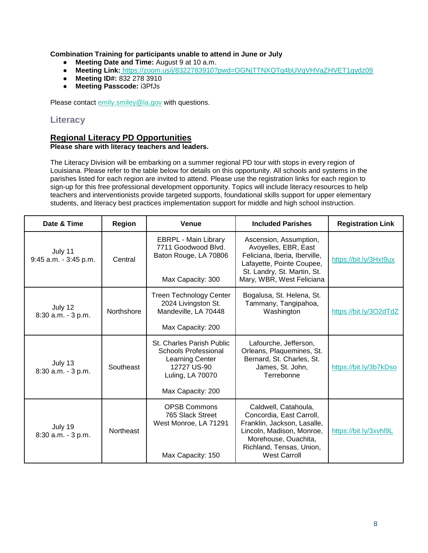### **Combination Training for participants unable to attend in June or July**

- **Meeting Date and Time:** August 9 at 10 a.m.
- **Meeting Link:** <https://zoom.us/j/8322783910?pwd=OGNjTTNXQTg4bUVqVHVaZHVET1gydz09>
- **Meeting ID#:** 832 278 3910
- **Meeting Passcode:** i3PfJs

Please contact [emily.smiley@la.gov](mailto:emily.smiley@la.gov) with questions.

## <span id="page-8-0"></span>**Literacy**

## **Regional Literacy PD Opportunities**

#### **Please share with literacy teachers and leaders.**

The Literacy Division will be embarking on a summer regional PD tour with stops in every region of Louisiana. Please refer to the table below for details on this opportunity. All schools and systems in the parishes listed for each region are invited to attend. Please use the registration links for each region to sign-up for this free professional development opportunity. Topics will include literacy resources to help teachers and interventionists provide targeted supports, foundational skills support for upper elementary students, and literacy best practices implementation support for middle and high school instruction.

| Date & Time                         | <b>Region</b> | <b>Venue</b>                                                                                                                               | <b>Included Parishes</b>                                                                                                                                                                | <b>Registration Link</b> |
|-------------------------------------|---------------|--------------------------------------------------------------------------------------------------------------------------------------------|-----------------------------------------------------------------------------------------------------------------------------------------------------------------------------------------|--------------------------|
| July 11<br>$9:45$ a.m. $-3:45$ p.m. | Central       | <b>EBRPL - Main Library</b><br>7711 Goodwood Blvd.<br>Baton Rouge, LA 70806<br>Max Capacity: 300                                           | Ascension, Assumption,<br>Avoyelles, EBR, East<br>Feliciana, Iberia, Iberville,<br>Lafayette, Pointe Coupee,<br>St. Landry, St. Martin, St.<br>Mary, WBR, West Feliciana                | https://bit.ly/3Hxl9ux   |
| July 12<br>8:30 a.m. - 3 p.m.       | Northshore    | <b>Treen Technology Center</b><br>2024 Livingston St.<br>Mandeville, LA 70448<br>Max Capacity: 200                                         | Bogalusa, St. Helena, St.<br>Tammany, Tangipahoa,<br>Washington                                                                                                                         | https://bit.ly/3O2dTdZ   |
| July 13<br>8:30 a.m. - 3 p.m.       | Southeast     | <b>St. Charles Parish Public</b><br>Schools Professional<br><b>Learning Center</b><br>12727 US-90<br>Luling, LA 70070<br>Max Capacity: 200 | Lafourche, Jefferson,<br>Orleans, Plaquemines, St.<br>Bernard, St. Charles, St.<br>James, St. John,<br>Terrebonne                                                                       | https://bit.ly/3b7kDso   |
| July 19<br>8:30 a.m. - 3 p.m.       | Northeast     | <b>OPSB Commons</b><br>765 Slack Street<br>West Monroe, LA 71291<br>Max Capacity: 150                                                      | Caldwell, Catahoula,<br>Concordia, East Carroll,<br>Franklin, Jackson, Lasalle,<br>Lincoln, Madison, Monroe,<br>Morehouse, Ouachita,<br>Richland, Tensas, Union,<br><b>West Carroll</b> | https://bit.ly/3xvhl9L   |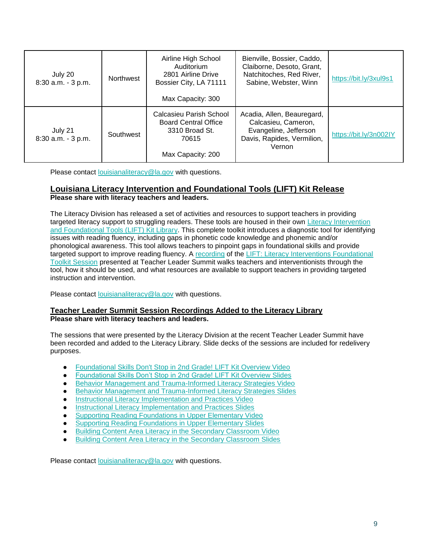| July 20<br>8:30 a.m. - 3 p.m.    | <b>Northwest</b> | Airline High School<br>Auditorium<br>2801 Airline Drive<br>Bossier City, LA 71111<br>Max Capacity: 300 | Bienville, Bossier, Caddo,<br>Claiborne, Desoto, Grant,<br>Natchitoches, Red River,<br>Sabine, Webster, Winn       | https://bit.ly/3xul9s1 |
|----------------------------------|------------------|--------------------------------------------------------------------------------------------------------|--------------------------------------------------------------------------------------------------------------------|------------------------|
| July 21<br>$8:30$ a.m. $-3$ p.m. | Southwest        | Calcasieu Parish School<br><b>Board Central Office</b><br>3310 Broad St.<br>70615<br>Max Capacity: 200 | Acadia, Allen, Beauregard,<br>Calcasieu, Cameron,<br>Evangeline, Jefferson<br>Davis, Rapides, Vermilion,<br>Vernon | https://bit.ly/3n002IY |

Please contact [louisianaliteracy@la.gov](mailto:louisianaliteracy@la.gov) with questions.

## **Louisiana Literacy Intervention and Foundational Tools (LIFT) Kit Release Please share with literacy teachers and leaders.**

The Literacy Division has released a set of activities and resources to support teachers in providing targeted literacy support to struggling readers. These tools are housed in their own Literacy Intervention [and Foundational Tools \(LIFT\) Kit Library.](https://www.louisianabelieves.com/resources/library/lift-(literacy-interventions-and-foundational-tools)-kit-library) This complete toolkit introduces a diagnostic tool for identifying issues with reading fluency, including gaps in phonetic code knowledge and phonemic and/or phonological awareness. This tool allows teachers to pinpoint gaps in foundational skills and provide targeted support to improve reading fluency. A [recording](https://youtu.be/52BLBLAUpHQ) of the LIFT: Literacy Interventions Foundational [Toolkit Session](https://www.louisianabelieves.com/docs/default-source/literacy/foundational-skills-don) presented at Teacher Leader Summit walks teachers and interventionists through the tool, how it should be used, and what resources are available to support teachers in providing targeted instruction and intervention.

Please contact [louisianaliteracy@la.gov](mailto:louisianaliteracy@la.gov) with questions.

### **Teacher Leader Summit Session Recordings Added to the Literacy Library Please share with literacy teachers and leaders.**

The sessions that were presented by the Literacy Division at the recent Teacher Leader Summit have been recorded and added to the Literacy Library. Slide decks of the sessions are included for redelivery purposes.

- [Foundational Skills Don't Stop in 2nd Grade! LIFT Kit Overview Video](https://youtu.be/52BLBLAUpHQ)
- [Foundational Skills Don't Stop in 2nd Grade! LIFT Kit Overview Slides](https://www.louisianabelieves.com/docs/default-source/literacy/foundational-skills-don)
- [Behavior Management and Trauma-Informed Literacy Strategies Video](https://youtu.be/ZVUSUVVMw2M)
- [Behavior Management and Trauma-Informed Literacy Strategies Slides](https://www.louisianabelieves.com/docs/default-source/literacy/behavior-management-and-trauma-informed-literacy-strategies.pdf)
- [Instructional Literacy Implementation and Practices Video](https://youtu.be/RI7uZWM3_Xk)
- **[Instructional Literacy Implementation and Practices Slides](https://www.louisianabelieves.com/docs/default-source/literacy/instructional-literacy-implementation-and-practices.pdf)**
- [Supporting Reading Foundations in Upper Elementary Video](https://youtu.be/iTTW927ey9E)
- **[Supporting Reading Foundations in Upper Elementary Slides](https://www.louisianabelieves.com/docs/default-source/literacy/supporting-reading-foundations-in-upper-elementary.pdf)**
- [Building Content Area Literacy in the Secondary Classroom Video](https://youtu.be/gJOf42ZJP4o)
- **[Building Content Area Literacy in the Secondary Classroom Slides](https://www.louisianabelieves.com/docs/default-source/literacy/building-content-area-literacy-in-the-secondary-classroom.pdf)**

Please contact [louisianaliteracy@la.gov](mailto:louisianaliteracy@la.gov) with questions.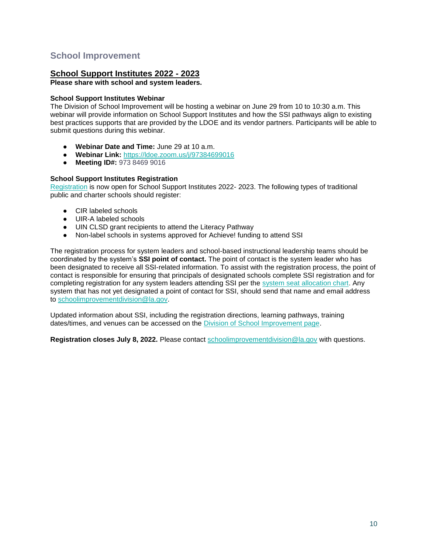# <span id="page-10-0"></span>**School Improvement**

## **School Support Institutes 2022 - 2023**

### **Please share with school and system leaders.**

### **School Support Institutes Webinar**

The Division of School Improvement will be hosting a webinar on June 29 from 10 to 10:30 a.m. This webinar will provide information on School Support Institutes and how the SSI pathways align to existing best practices supports that are provided by the LDOE and its vendor partners. Participants will be able to submit questions during this webinar.

- **Webinar Date and Time:** June 29 at 10 a.m.
- **Webinar Link:** <https://ldoe.zoom.us/j/97384699016>
- **Meeting ID#:** 973 8469 9016

### **School Support Institutes Registration**

[Registration](https://www.louisianabelieves.com/docs/default-source/district-support/school-support-institutes-registration.pdf?sfvrsn=1a696518_2) is now open for School Support Institutes 2022- 2023. The following types of traditional public and charter schools should register:

- CIR labeled schools
- UIR-A labeled schools
- UIN CLSD grant recipients to attend the Literacy Pathway
- Non-label schools in systems approved for Achieve! funding to attend SSI

The registration process for system leaders and school-based instructional leadership teams should be coordinated by the system's **SSI point of contact.** The point of contact is the system leader who has been designated to receive all SSI-related information. To assist with the registration process, the point of contact is responsible for ensuring that principals of designated schools complete SSI registration and for completing registration for any system leaders attending SSI per the [system seat allocation chart.](https://www.louisianabelieves.com/docs/default-source/district-support/school-support-institutes-overview.pdf?sfvrsn=6f16991f_10) Any system that has not yet designated a point of contact for SSI, should send that name and email address to [schoolimprovementdivision@la.gov.](mailto:schoolimprovementdivision@la.gov)

Updated information about SSI, including the registration directions, learning pathways, training dates/times, and venues can be accessed on the [Division of School Improvement page.](https://www.louisianabelieves.com/schools/school-improvement)

**Registration closes July 8, 2022.** Please contact [schoolimprovementdivision@la.gov](mailto:schoolimprovementdivision@la.gov) with questions.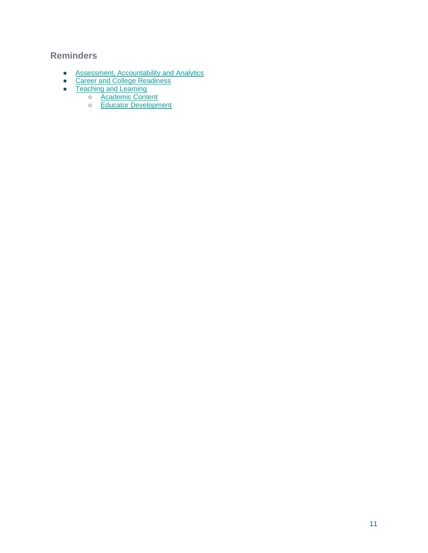# <span id="page-11-0"></span>**Reminders**

- [Assessment, Accountability and Analytics](#page-12-0)
- **[Career and College Readiness](#page-13-0)**
- [Teaching and Learning](#page-14-0)
	- o **[Academic Content](#page-14-1)** 
		- o [Educator Development](#page-14-2)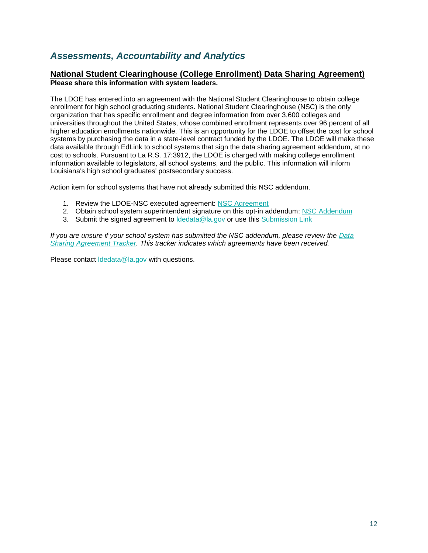# <span id="page-12-0"></span>*Assessments, Accountability and Analytics*

## **National Student Clearinghouse (College Enrollment) Data Sharing Agreement) Please share this information with system leaders.**

The LDOE has entered into an agreement with the National Student Clearinghouse to obtain college enrollment for high school graduating students. National Student Clearinghouse (NSC) is the only organization that has specific enrollment and degree information from over 3,600 colleges and universities throughout the United States, whose combined enrollment represents over 96 percent of all higher education enrollments nationwide. This is an opportunity for the LDOE to offset the cost for school systems by purchasing the data in a state-level contract funded by the LDOE. The LDOE will make these data available through EdLink to school systems that sign the data sharing agreement addendum, at no cost to schools. Pursuant to La R.S. 17:3912, the LDOE is charged with making college enrollment information available to legislators, all school systems, and the public. This information will inform Louisiana's high school graduates' postsecondary success.

Action item for school systems that have not already submitted this NSC addendum.

- 1. Review the LDOE-NSC executed agreement[:](https://urldefense.proofpoint.com/v2/url?u=https-3A__www.louisianabelieves.com_docs_default-2Dsource_data-2Dmanagement_national-2Dstudent-2Dclearinghouse-2D-2D-2D2022.pdf-3Fsfvrsn-3D7386518-5F2&d=DwMGaQ&c=xlPCXuHzMdaH2Flc1sgyicYpGQbQbU9KDEmgNF3_wI0&r=tfo0-czka-P8BMN0du3dPA&m=uadRfWRlT6LHVvjLybWdt1j7f2AnqAWd5f_plPO3irE&s=7KP7-ieeoXBHU_TwGcvZh7kMxAKbfvv5FLqmFebCAa0&e=) [NSC Agreement](https://urldefense.proofpoint.com/v2/url?u=https-3A__www.louisianabelieves.com_docs_default-2Dsource_data-2Dmanagement_national-2Dstudent-2Dclearinghouse-2D-2D-2D2022.pdf-3Fsfvrsn-3D7386518-5F2&d=DwMGaQ&c=xlPCXuHzMdaH2Flc1sgyicYpGQbQbU9KDEmgNF3_wI0&r=tfo0-czka-P8BMN0du3dPA&m=uadRfWRlT6LHVvjLybWdt1j7f2AnqAWd5f_plPO3irE&s=7KP7-ieeoXBHU_TwGcvZh7kMxAKbfvv5FLqmFebCAa0&e=)
- 2. Obtain school system superintendent signature on this opt-in addendum[:](https://www.louisianabelieves.com/docs/default-source/data-management/national-student-clearinghouse-(2022)---addendum.docx?sfvrsn=fa386518_2) [NSC Addendum](https://www.louisianabelieves.com/docs/default-source/data-management/national-student-clearinghouse-(2022)---addendum.docx?sfvrsn=fa386518_2)
- 3. Submit the [s](https://form.jotform.com/220685140413144)igned agreement to Idedata@la.gov or use this [Submission Link](https://form.jotform.com/220685140413144)

*If you are unsure if your school system has submitted the NSC addendum, please review th[e](https://datastudio.google.com/u/0/reporting/1arwh3223YKsaV7xjbgEJSf0uymYALvUH/page/ija3?params=%7B%22df2%22:%22include%25EE%2580%25800%25EE%2580%2580IN%25EE%2580%2580002%22%7D) [Data](https://datastudio.google.com/u/0/reporting/1arwh3223YKsaV7xjbgEJSf0uymYALvUH/page/ija3?params=%7B%22df2%22:%22include%25EE%2580%25800%25EE%2580%2580IN%25EE%2580%2580002%22%7D)  [Sharing Agreement Tracker.](https://datastudio.google.com/u/0/reporting/1arwh3223YKsaV7xjbgEJSf0uymYALvUH/page/ija3?params=%7B%22df2%22:%22include%25EE%2580%25800%25EE%2580%2580IN%25EE%2580%2580002%22%7D) This tracker indicates which agreements have been received.*

Please contact Idedata@la.gov with questions.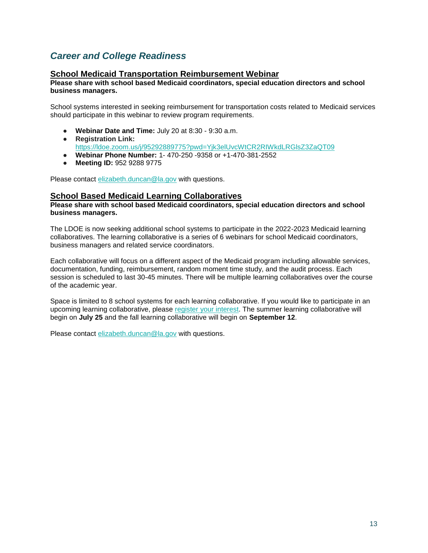# <span id="page-13-0"></span>*Career and College Readiness*

## **School Medicaid Transportation Reimbursement Webinar**

#### **Please share with school based Medicaid coordinators, special education directors and school business managers.**

School systems interested in seeking reimbursement for transportation costs related to Medicaid services should participate in this webinar to review program requirements.

- **Webinar Date and Time:** July 20 at 8:30 9:30 a.m.
- **Registration Link:**  <https://ldoe.zoom.us/j/95292889775?pwd=Yjk3elUvcWtCR2RIWkdLRGlsZ3ZaQT09>
- **Webinar Phone Number:** 1- 470-250 -9358 or +1-470-381-2552
- **Meeting ID:** 952 9288 9775

Please contact [elizabeth.duncan@la.gov](mailto:elizabeth.duncan@la.gov) with questions.

### **School Based Medicaid Learning Collaboratives**

#### **Please share with school based Medicaid coordinators, special education directors and school business managers.**

The LDOE is now seeking additional school systems to participate in the 2022-2023 Medicaid learning collaboratives. The learning collaborative is a series of 6 webinars for school Medicaid coordinators, business managers and related service coordinators.

Each collaborative will focus on a different aspect of the Medicaid program including allowable services, documentation, funding, reimbursement, random moment time study, and the audit process. Each session is scheduled to last 30-45 minutes. There will be multiple learning collaboratives over the course of the academic year.

Space is limited to 8 school systems for each learning collaborative. If you would like to participate in an upcoming learning collaborative, please [register your interest.](https://forms.gle/YiB95v7nCYKkGU2QA) The summer learning collaborative will begin on **July 25** and the fall learning collaborative will begin on **September 12**.

Please contact [elizabeth.duncan@la.gov](mailto:elizabeth.duncan@la.gov) with questions.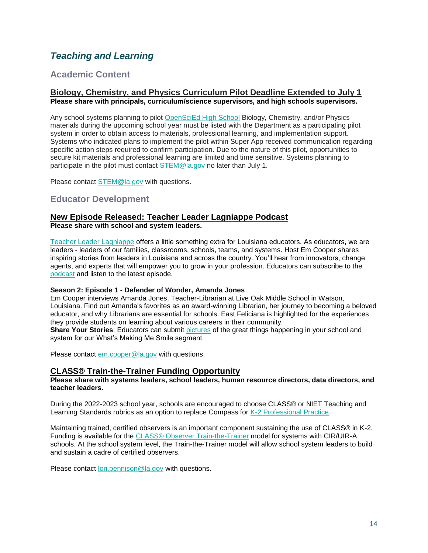# <span id="page-14-0"></span>*Teaching and Learning*

# <span id="page-14-1"></span>**Academic Content**

### **Biology, Chemistry, and Physics Curriculum Pilot Deadline Extended to July 1 Please share with principals, curriculum/science supervisors, and high schools supervisors.**

Any school systems planning to pilot [OpenSciEd High School](https://www.louisianabelieves.com/docs/default-source/year-long-planning/openscied-high-school-pilot.pdf) Biology, Chemistry, and/or Physics materials during the upcoming school year must be listed with the Department as a participating pilot system in order to obtain access to materials, professional learning, and implementation support. Systems who indicated plans to implement the pilot within Super App received communication regarding specific action steps required to confirm participation. Due to the nature of this pilot, opportunities to secure kit materials and professional learning are limited and time sensitive. Systems planning to participate in the pilot must contact [STEM@la.gov](mailto:STEM@la.gov) no later than July 1.

Please contact [STEM@la.gov](mailto:STEM@la.gov) with questions.

# <span id="page-14-2"></span>**Educator Development**

# **New Episode Released: Teacher Leader Lagniappe Podcast**

**Please share with school and system leaders.**

Teacher Leader Lagniappe offers a little something extra for Louisiana educators. As educators, we are leaders - leaders of our families, classrooms, schools, teams, and systems. Host Em Cooper shares inspiring stories from leaders in Louisiana and across the country. You'll hear from innovators, change agents, and experts that will empower you to grow in your profession. Educators can subscribe to th[e](https://www.buzzsprout.com/1804579) [podcast](https://www.buzzsprout.com/1804579) and listen to the latest episode.

#### **Season 2: Episode 1 - Defender of Wonder, Amanda Jones**

Em Cooper interviews Amanda Jones, Teacher-Librarian at Live Oak Middle School in Watson, Louisiana. Find out Amanda's favorites as an award-winning Librarian, her journey to becoming a beloved educator, and why Librarians are essential for schools. East Feliciana is highlighted for the experiences they provide students on learning about various careers in their community.

**Share Your Stories:** Educators can submit [pictures](https://www.louisianabelieves.com/podcast) of the great things happening in your school and system for our What's Making Me Smile segment.

Please contact [em.cooper@la.gov](mailto:em.cooper@la.gov) with questions.

## **CLASS® Train-the-Trainer Funding Opportunity**

### **Please share with systems leaders, school leaders, human resource directors, data directors, and teacher leaders.**

During the 2022-2023 school year, schools are encouraged to choose CLASS® or NIET Teaching and Learning Standards rubrics as an option to replace Compass for [K-2 Professional Practice.](https://www.louisianabelieves.com/docs/default-source/key-compass-resources/2022-2023-k-2-teacher-professional-practice.pdf?sfvrsn=96126518_4)

Maintaining trained, certified observers is an important component sustaining the use of CLASS® in K-2. Funding is available for the [CLASS® Observer Train-the-Trainer](https://www.louisianabelieves.com/docs/default-source/key-compass-resources/k-2-class-ttt-funding-opportunity_-spring-2022.pdf?sfvrsn=95126518_4) model for systems with CIR/UIR-A schools. At the school system level, the Train-the-Trainer model will allow school system leaders to build and sustain a cadre of certified observers.

Please contact [lori.pennison@la.gov](mailto:lori.pennison@la.gov) with questions.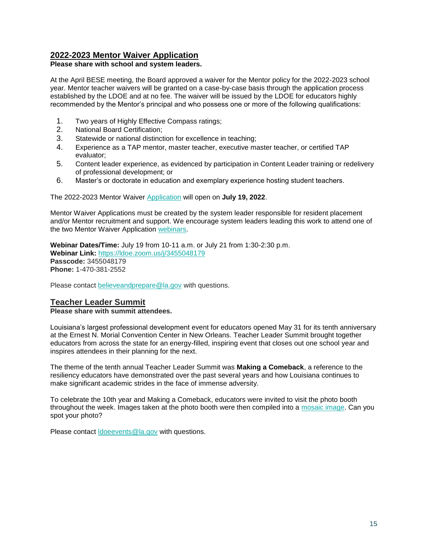# **2022-2023 Mentor Waiver Application**

### **Please share with school and system leaders.**

At the April BESE meeting, the Board approved a waiver for the Mentor policy for the 2022-2023 school year. Mentor teacher waivers will be granted on a case-by-case basis through the application process established by the LDOE and at no fee. The waiver will be issued by the LDOE for educators highly recommended by the Mentor's principal and who possess one or more of the following qualifications:

- 1. Two years of Highly Effective Compass ratings;
- 2. National Board Certification;
- 3. Statewide or national distinction for excellence in teaching;
- 4. Experience as a TAP mentor, master teacher, executive master teacher, or certified TAP evaluator;
- 5. Content leader experience, as evidenced by participation in Content Leader training or redelivery of professional development; or
- 6. Master's or doctorate in education and exemplary experience hosting student teachers.

The 2022-2023 Mentor Waiver [Application](https://louisianabelieves.smapply.io/prog/) will open on **July 19, 2022**.

Mentor Waiver Applications must be created by the system leader responsible for resident placement and/or Mentor recruitment and support. We encourage system leaders leading this work to attend one of the two Mentor Waiver Application [webinars.](https://ldoe.zoom.us/j/3455048179)

**Webinar Dates/Time:** July 19 from 10-11 a.m. or July 21 from 1:30-2:30 p.m. **Webinar Link:** <https://ldoe.zoom.us/j/3455048179> **Passcode:** 3455048179 **Phone:** 1-470-381-2552

Please contact [believeandprepare@la.gov](mailto:believeandprepare@la.gov) with questions.

# **Teacher Leader Summit**

**Please share with summit attendees.**

Louisiana's largest professional development event for educators opened May 31 for its tenth anniversary at the Ernest N. Morial Convention Center in New Orleans. Teacher Leader Summit brought together educators from across the state for an energy-filled, inspiring event that closes out one school year and inspires attendees in their planning for the next.

The theme of the tenth annual Teacher Leader Summit was **Making a Comeback**, a reference to the resiliency educators have demonstrated over the past several years and how Louisiana continues to make significant academic strides in the face of immense adversity.

To celebrate the 10th year and Making a Comeback, educators were invited to visit the photo booth throughout the week. Images taken at the photo booth were then compiled into a [mosaic image.](https://urldefense.proofpoint.com/v2/url?u=https-3A__ecs.page.link_Bqorp&d=DwMFaQ&c=xlPCXuHzMdaH2Flc1sgyicYpGQbQbU9KDEmgNF3_wI0&r=ud6Vc09FYp3oyW8DRMeTq4DgjZnjJaHdwHefwS7j_rw&m=_xgnsQnhP42lkVCsvCEA3hM6-0ZuROGBturbS-MF2Ds&s=7aRZ_0n75N-UM4YVsr1kZI9r-liUtLjGfjs6CNDGtVw&e=) Can you spot your photo?

Please contact [ldoeevents@la.gov](mailto:LDOEevents@la.gov) with questions.